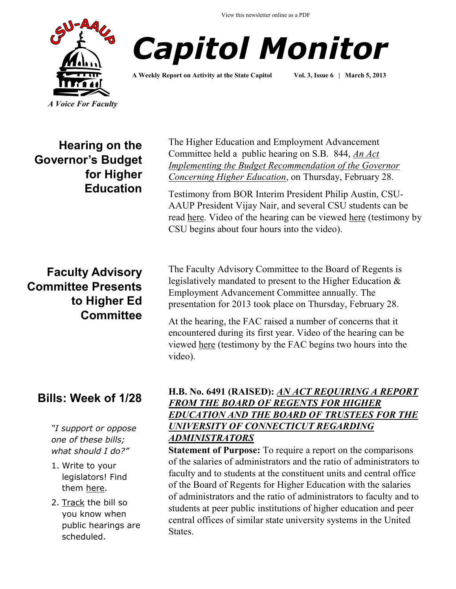View this newsletter online as a PDF





**A Weekly Report on Activity at the State Capitol Vol. 3, Issue 6 | March 5, 2013**

**Hearing on the Governor's Budget for Higher Education**

## **Faculty Advisory Committee Presents to Higher Ed Committee**

# **Bills: Week of 1/28**

*"I support or oppose one of these bills; what should I do?"*

- 1. Write to your legislators! Find them [here.](http://www.cga.ct.gov/asp/menu/CGAFindLeg.asp)
- 2. [Track](http://www.cga.ct.gov/aspx/CGAPublicBillTrack/Register.aspx) the bill so you know when public hearings are scheduled.

The Higher Education and Employment Advancement Committee held a public hearing on S.B. 844, *[An Act](http://www.cga.ct.gov/2013/TOB/S/2013SB-00844-R00-SB.htm)  [Implementing the Budget Recommendation of the Governor](http://www.cga.ct.gov/2013/TOB/S/2013SB-00844-R00-SB.htm)  [Concerning Higher Education](http://www.cga.ct.gov/2013/TOB/S/2013SB-00844-R00-SB.htm)*, on Thursday, February 28.

Testimony from BOR Interim President Philip Austin, CSU-AAUP President Vijay Nair, and several CSU students can be read [here.](http://www.cga.ct.gov/asp/menu/CommDocTmy.asp?comm_code=HED&date=02/28/2013) Video of the hearing can be viewed [here](http://ct-n.com/ondemand.asp?ID=8750) (testimony by CSU begins about four hours into the video).

The Faculty Advisory Committee to the Board of Regents is legislatively mandated to present to the Higher Education & Employment Advancement Committee annually. The presentation for 2013 took place on Thursday, February 28.

At the hearing, the FAC raised a number of concerns that it encountered during its first year. Video of the hearing can be viewed [here](http://ct-n.com/ondemand.asp?ID=8750) (testimony by the FAC begins two hours into the video).

### **H.B. No. 6491 (RAISED):** *[AN ACT REQUIRING A REPORT](http://www.cga.ct.gov/asp/cgabillstatus/cgabillstatus.asp?selBillType=Bill&bill_num=HB06491&which_year=2013)  [FROM THE BOARD OF REGENTS FOR HIGHER](http://www.cga.ct.gov/asp/cgabillstatus/cgabillstatus.asp?selBillType=Bill&bill_num=HB06491&which_year=2013)  [EDUCATION AND THE BOARD OF TRUSTEES FOR THE](http://www.cga.ct.gov/asp/cgabillstatus/cgabillstatus.asp?selBillType=Bill&bill_num=HB06491&which_year=2013)  [UNIVERSITY OF CONNECTICUT REGARDING](http://www.cga.ct.gov/asp/cgabillstatus/cgabillstatus.asp?selBillType=Bill&bill_num=HB06491&which_year=2013)  [ADMINISTRATORS](http://www.cga.ct.gov/asp/cgabillstatus/cgabillstatus.asp?selBillType=Bill&bill_num=HB06491&which_year=2013)*

**Statement of Purpose:** To require a report on the comparisons of the salaries of administrators and the ratio of administrators to faculty and to students at the constituent units and central office of the Board of Regents for Higher Education with the salaries of administrators and the ratio of administrators to faculty and to students at peer public institutions of higher education and peer central offices of similar state university systems in the United States.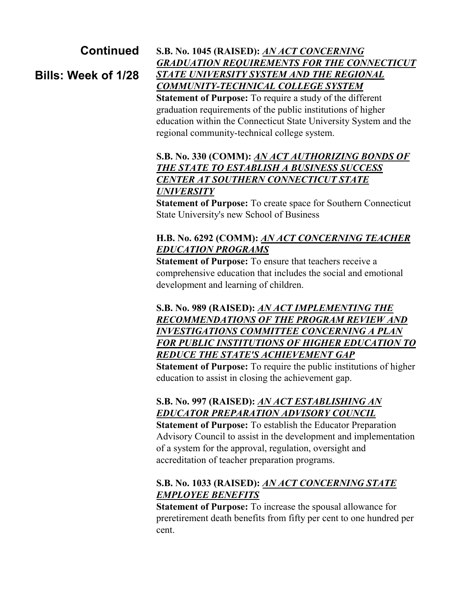## **Continued**

**Bills: Week of 1/28**

**S.B. No. 1045 (RAISED):** *[AN ACT CONCERNING](http://www.cga.ct.gov/asp/cgabillstatus/cgabillstatus.asp?selBillType=Bill&bill_num=SB01045&which_year=2013)  [GRADUATION REQUIREMENTS FOR THE CONNECTICUT](http://www.cga.ct.gov/asp/cgabillstatus/cgabillstatus.asp?selBillType=Bill&bill_num=SB01045&which_year=2013)  [STATE UNIVERSITY SYSTEM AND THE REGIONAL](http://www.cga.ct.gov/asp/cgabillstatus/cgabillstatus.asp?selBillType=Bill&bill_num=SB01045&which_year=2013)  [COMMUNITY-TECHNICAL COLLEGE SYSTEM](http://www.cga.ct.gov/asp/cgabillstatus/cgabillstatus.asp?selBillType=Bill&bill_num=SB01045&which_year=2013)* **Statement of Purpose:** To require a study of the different graduation requirements of the public institutions of higher education within the Connecticut State University System and the regional community-technical college system.

#### **S.B. No. 330 (COMM):** *[AN ACT AUTHORIZING BONDS OF](http://www.cga.ct.gov/asp/cgabillstatus/cgabillstatus.asp?selBillType=Bill&bill_num=SB00330&which_year=2013)  [THE STATE TO ESTABLISH A BUSINESS SUCCESS](http://www.cga.ct.gov/asp/cgabillstatus/cgabillstatus.asp?selBillType=Bill&bill_num=SB00330&which_year=2013)  [CENTER AT SOUTHERN CONNECTICUT STATE](http://www.cga.ct.gov/asp/cgabillstatus/cgabillstatus.asp?selBillType=Bill&bill_num=SB00330&which_year=2013)  [UNIVERSITY](http://www.cga.ct.gov/asp/cgabillstatus/cgabillstatus.asp?selBillType=Bill&bill_num=SB00330&which_year=2013)*

**Statement of Purpose:** To create space for Southern Connecticut State University's new School of Business

#### **H.B. No. 6292 (COMM):** *[AN ACT CONCERNING TEACHER](http://www.cga.ct.gov/asp/cgabillstatus/cgabillstatus.asp?selBillType=Bill&bill_num=HB06292&which_year=2013)  [EDUCATION PROGRAMS](http://www.cga.ct.gov/asp/cgabillstatus/cgabillstatus.asp?selBillType=Bill&bill_num=HB06292&which_year=2013)*

**Statement of Purpose:** To ensure that teachers receive a comprehensive education that includes the social and emotional development and learning of children.

#### **S.B. No. 989 (RAISED):** *[AN ACT IMPLEMENTING THE](http://www.cga.ct.gov/asp/cgabillstatus/cgabillstatus.asp?selBillType=Bill&bill_num=SB00989&which_year=2013)  [RECOMMENDATIONS OF THE PROGRAM REVIEW AND](http://www.cga.ct.gov/asp/cgabillstatus/cgabillstatus.asp?selBillType=Bill&bill_num=SB00989&which_year=2013)  [INVESTIGATIONS COMMITTEE CONCERNING A PLAN](http://www.cga.ct.gov/asp/cgabillstatus/cgabillstatus.asp?selBillType=Bill&bill_num=SB00989&which_year=2013)  [FOR PUBLIC INSTITUTIONS OF HIGHER EDUCATION TO](http://www.cga.ct.gov/asp/cgabillstatus/cgabillstatus.asp?selBillType=Bill&bill_num=SB00989&which_year=2013)  [REDUCE THE STATE'S ACHIEVEMENT GAP](http://www.cga.ct.gov/asp/cgabillstatus/cgabillstatus.asp?selBillType=Bill&bill_num=SB00989&which_year=2013)*

**Statement of Purpose:** To require the public institutions of higher education to assist in closing the achievement gap.

## **S.B. No. 997 (RAISED):** *[AN ACT ESTABLISHING AN](http://www.cga.ct.gov/asp/cgabillstatus/cgabillstatus.asp?selBillType=Bill&bill_num=SB00997&which_year=2013)  [EDUCATOR PREPARATION ADVISORY COUNCIL](http://www.cga.ct.gov/asp/cgabillstatus/cgabillstatus.asp?selBillType=Bill&bill_num=SB00997&which_year=2013)*

**Statement of Purpose:** To establish the Educator Preparation Advisory Council to assist in the development and implementation of a system for the approval, regulation, oversight and accreditation of teacher preparation programs.

### **S.B. No. 1033 (RAISED):** *[AN ACT CONCERNING STATE](http://www.cga.ct.gov/asp/cgabillstatus/cgabillstatus.asp?selBillType=Bill&bill_num=SB01033&which_year=2013)  [EMPLOYEE BENEFITS](http://www.cga.ct.gov/asp/cgabillstatus/cgabillstatus.asp?selBillType=Bill&bill_num=SB01033&which_year=2013)*

**Statement of Purpose:** To increase the spousal allowance for preretirement death benefits from fifty per cent to one hundred per cent.